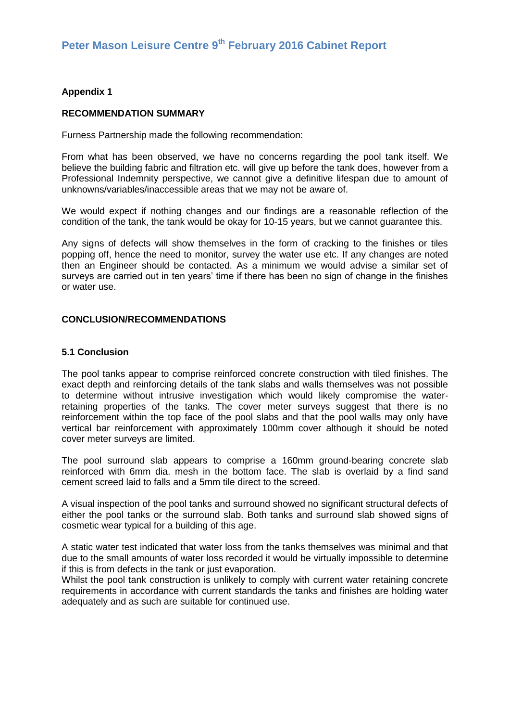## **Appendix 1**

## **RECOMMENDATION SUMMARY**

Furness Partnership made the following recommendation:

From what has been observed, we have no concerns regarding the pool tank itself. We believe the building fabric and filtration etc. will give up before the tank does, however from a Professional Indemnity perspective, we cannot give a definitive lifespan due to amount of unknowns/variables/inaccessible areas that we may not be aware of.

We would expect if nothing changes and our findings are a reasonable reflection of the condition of the tank, the tank would be okay for 10-15 years, but we cannot guarantee this.

Any signs of defects will show themselves in the form of cracking to the finishes or tiles popping off, hence the need to monitor, survey the water use etc. If any changes are noted then an Engineer should be contacted. As a minimum we would advise a similar set of surveys are carried out in ten years' time if there has been no sign of change in the finishes or water use.

#### **CONCLUSION/RECOMMENDATIONS**

## **5.1 Conclusion**

The pool tanks appear to comprise reinforced concrete construction with tiled finishes. The exact depth and reinforcing details of the tank slabs and walls themselves was not possible to determine without intrusive investigation which would likely compromise the waterretaining properties of the tanks. The cover meter surveys suggest that there is no reinforcement within the top face of the pool slabs and that the pool walls may only have vertical bar reinforcement with approximately 100mm cover although it should be noted cover meter surveys are limited.

The pool surround slab appears to comprise a 160mm ground-bearing concrete slab reinforced with 6mm dia. mesh in the bottom face. The slab is overlaid by a find sand cement screed laid to falls and a 5mm tile direct to the screed.

A visual inspection of the pool tanks and surround showed no significant structural defects of either the pool tanks or the surround slab. Both tanks and surround slab showed signs of cosmetic wear typical for a building of this age.

A static water test indicated that water loss from the tanks themselves was minimal and that due to the small amounts of water loss recorded it would be virtually impossible to determine if this is from defects in the tank or just evaporation.

Whilst the pool tank construction is unlikely to comply with current water retaining concrete requirements in accordance with current standards the tanks and finishes are holding water adequately and as such are suitable for continued use.